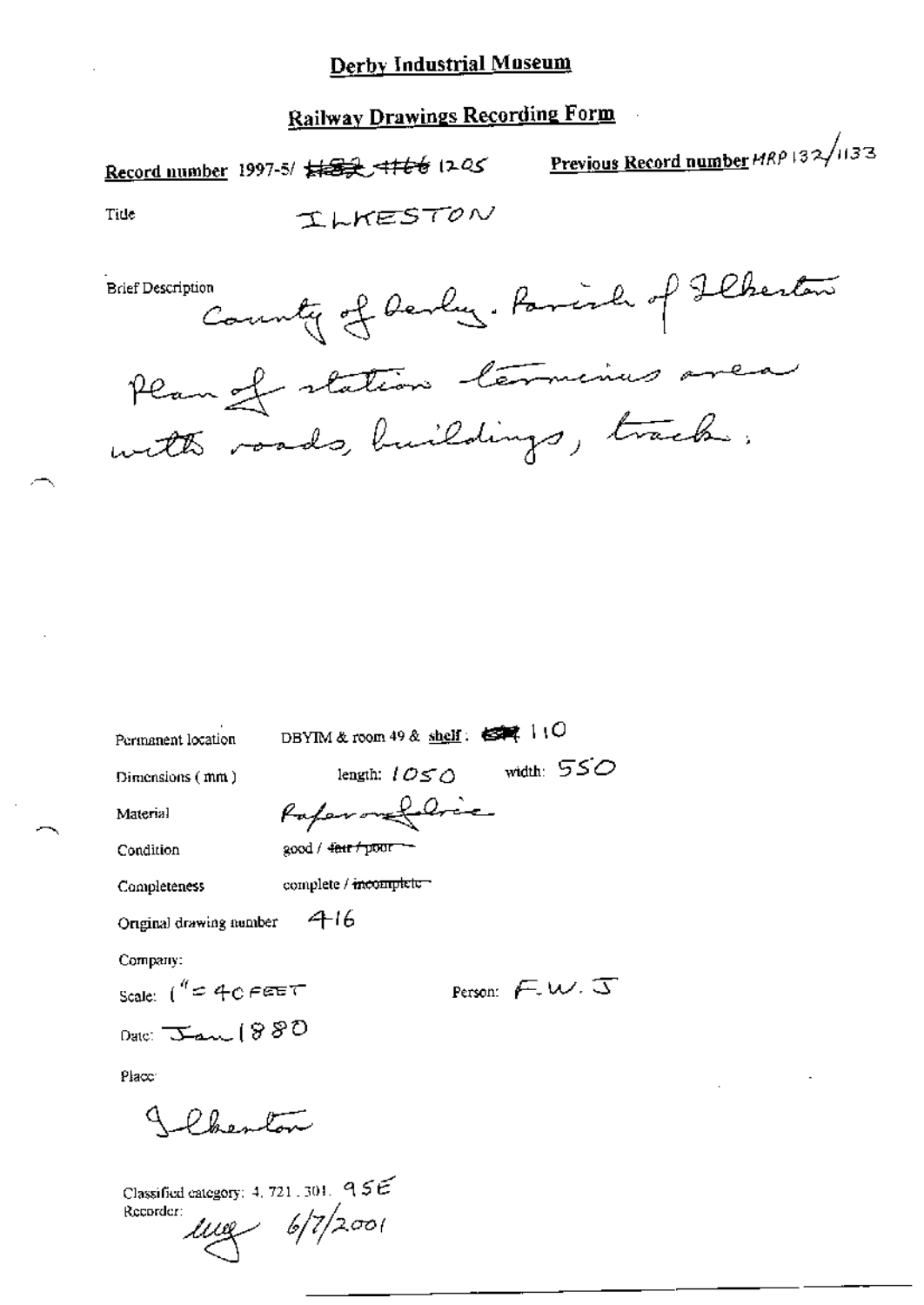## **Railway Drawings Recording Form**

Record number 1997-5/  $\frac{1}{2}$  +  $\frac{1}{2}$  +  $\frac{1}{2}$  +  $\frac{1}{2}$  +  $\frac{1}{2}$  +  $\frac{1}{2}$  +  $\frac{1}{2}$  +  $\frac{1}{2}$  +  $\frac{1}{2}$  +  $\frac{1}{2}$  +  $\frac{1}{2}$  +  $\frac{1}{2}$  +  $\frac{1}{2}$  +  $\frac{1}{2}$  +  $\frac{1}{2}$  +  $\frac{1}{2}$  +  $\frac{1}{2$ ILKESTON Tide County of Devly. Parish of Flheston **Brief Description** 

| Permanent location             | DBYIM & room 49 & shelf: 65 5   10                    |
|--------------------------------|-------------------------------------------------------|
| Dimensions (mm)                | width: $550$<br>length: $\mathcal{L} \in \mathcal{L}$ |
| Material                       | Paperonfolice                                         |
| Condition                      | good / <del>dair / poor --</del>                      |
| Completeness                   | complete / meomplete                                  |
| Original drawing number        | 416                                                   |
| Company:                       |                                                       |
| Scale: $\int^q \in 4c$ FEET    | Person: $\sqrt{2}$ W. $\sqrt{3}$                      |
| Date: $\tau_{\rm max}$ ( $880$ |                                                       |
| Place:                         |                                                       |
| سيسلمه وهداكم                  |                                                       |

Classified category: 4, 721, 301,  $95E$ Recorder:

 $1009 - 6/7/2001$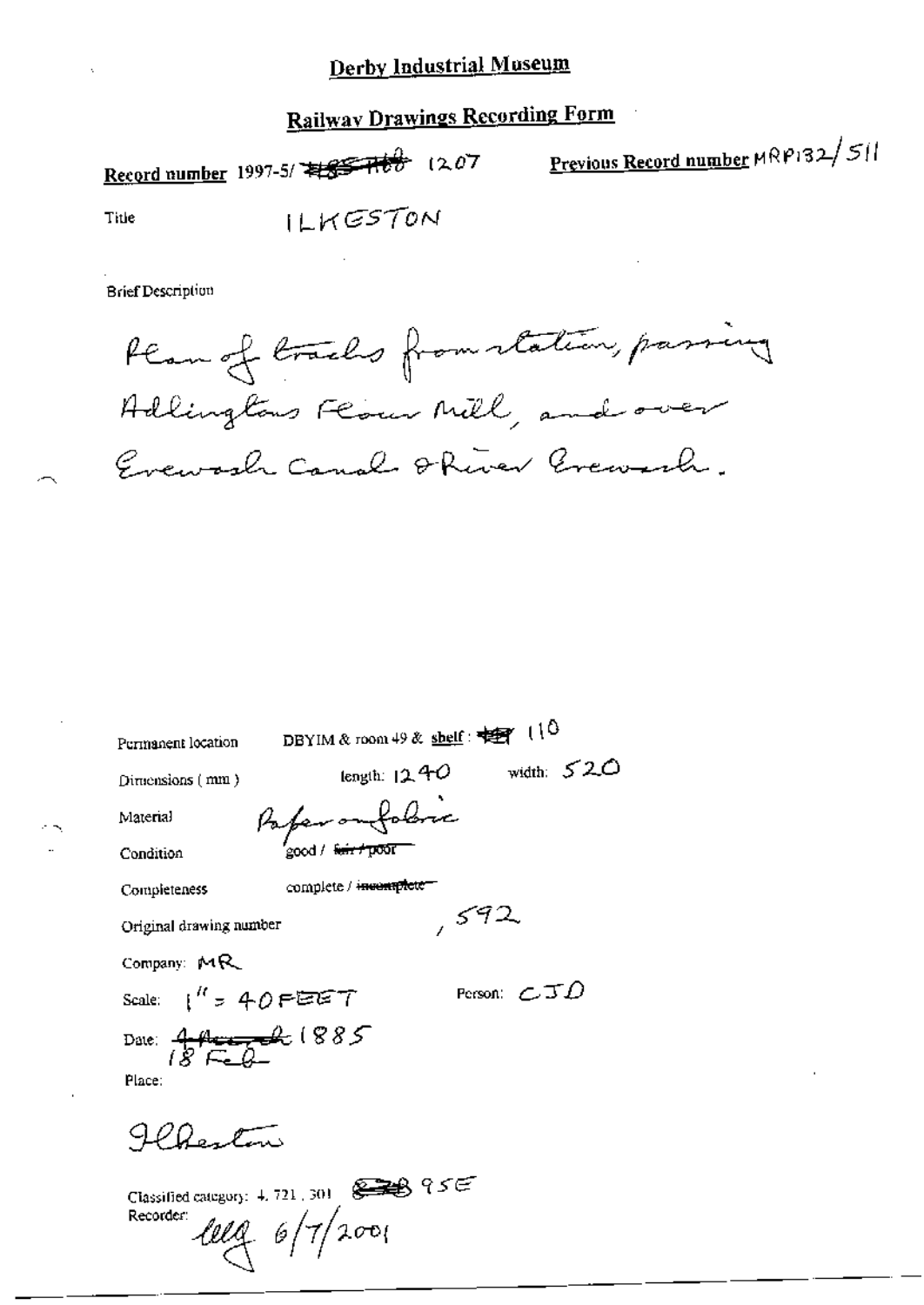# **Railway Drawings Recording Form**

Record number 1997-5/  $\sqrt{5}$  1207 Previous Record number MRP132/511 ILKESTON Title

**Brief Description** 

Plan of tracks from station, passing Adlingtons Flower Mill, and over Evewarch Canal Ohiver Grewish.

| Permanent location      | DBYIM & room 49 & shelf: $\frac{10}{25}$ (10)                                        |                          |
|-------------------------|--------------------------------------------------------------------------------------|--------------------------|
| Dimensions (mm)         | length: $12.40$                                                                      | width: $520$             |
| Material                | Paper omfolive                                                                       |                          |
| Condition               | ood / <del>fair / 000</del> 0                                                        |                          |
| Completeness            | complete / <del>incomplete =</del>                                                   |                          |
| Original drawing number |                                                                                      | , 592                    |
| Company: MR             |                                                                                      |                          |
| Scale: $1''$ = 40 FEET  |                                                                                      | Person: $\epsilon$ J $D$ |
| Date: $44$ $1885$       |                                                                                      |                          |
| Place:                  |                                                                                      |                          |
|                         |                                                                                      |                          |
| $0 - \mathcal{F}$       |                                                                                      |                          |
|                         | Classified category: $4, 721, 301$ $\qquad \qquad \Longleftrightarrow \qquad 95 \in$ |                          |
| Recorder:               | leeg 6/7/2001                                                                        |                          |
|                         |                                                                                      |                          |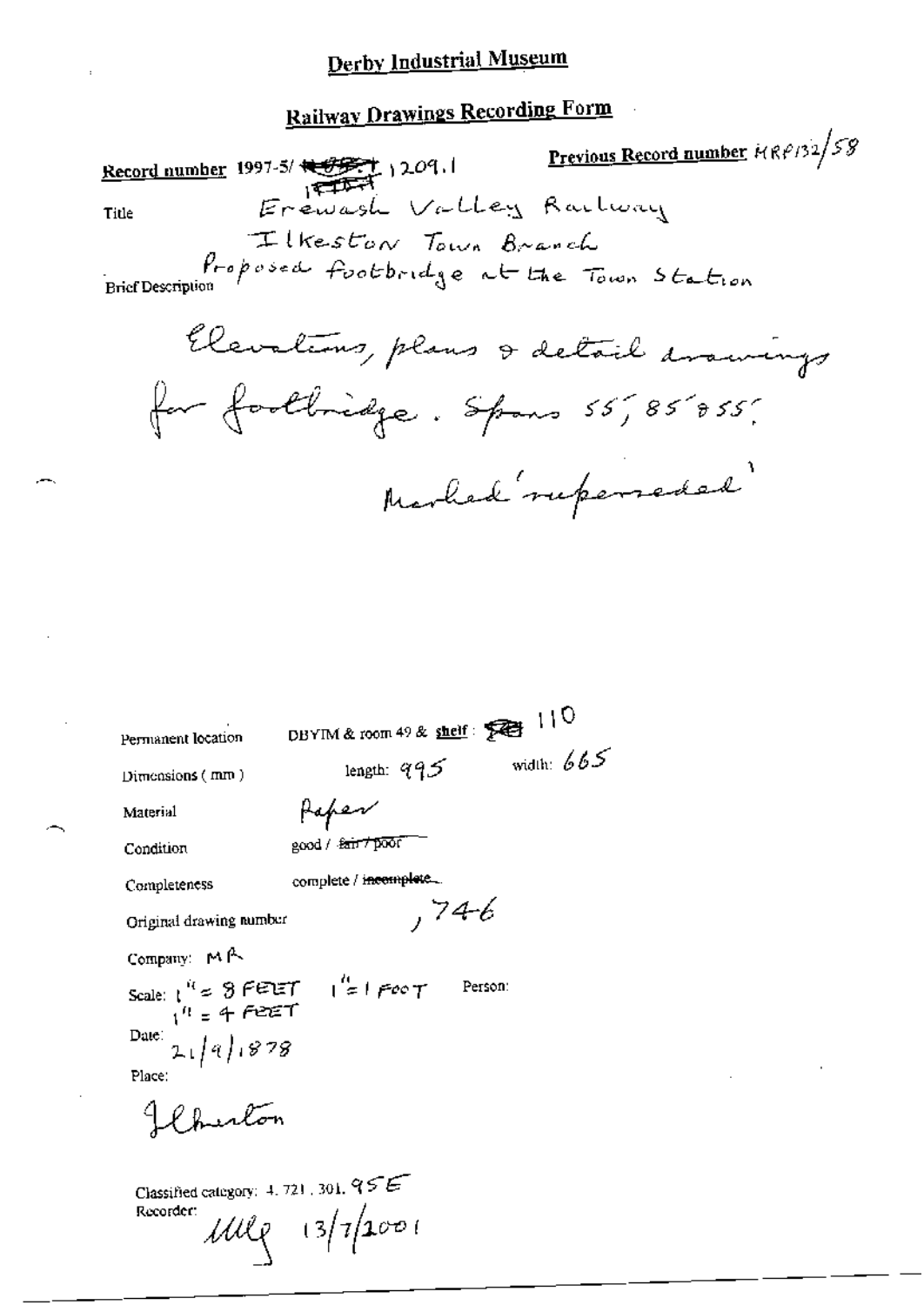# **Railway Drawings Recording Form**

Previous Record number  $F(Rf/32)$  58 Record number 1997-5/ 1997-5/ 1209.1<br>Title Erewash Valley Raction Ilkeston Town Branch Proposed footbridge at the Town Station **Brief Description** Elevations, plans & detail avainings for footbridge. Spans 55,85855; Marbed ruperseded

| Permanent location                                   | DBYIM & room 49 & shelf: $\sqrt{ }$ 110                                                                                                                                                                 |              |
|------------------------------------------------------|---------------------------------------------------------------------------------------------------------------------------------------------------------------------------------------------------------|--------------|
| Dimensions ( $\texttt{mm}$ )                         | length: $95$                                                                                                                                                                                            | width: $665$ |
| Material                                             | Haper                                                                                                                                                                                                   |              |
| Condition                                            | good / fair / poor"                                                                                                                                                                                     |              |
| Completeness                                         | complete / incomplete                                                                                                                                                                                   |              |
| Original drawing number                              | ,74-6                                                                                                                                                                                                   |              |
| Company: MA                                          |                                                                                                                                                                                                         |              |
|                                                      |                                                                                                                                                                                                         |              |
|                                                      | Scale: $\int_{1}^{R} \epsilon \Re P \vec{r} dT = \int_{\epsilon}^{R}  P \vec{r} \rangle T$ Person:<br>Date: $\frac{1}{2} \left[ \frac{1}{4} \right] \left[ \frac{1}{8} \frac{3}{7} \Re \vec{r} \right]$ |              |
| Place:                                               |                                                                                                                                                                                                         |              |
| Clauton                                              |                                                                                                                                                                                                         |              |
| Classified category: $4, 721, 301, 955$<br>Recorder: | $100$ $(3/7)2001$                                                                                                                                                                                       |              |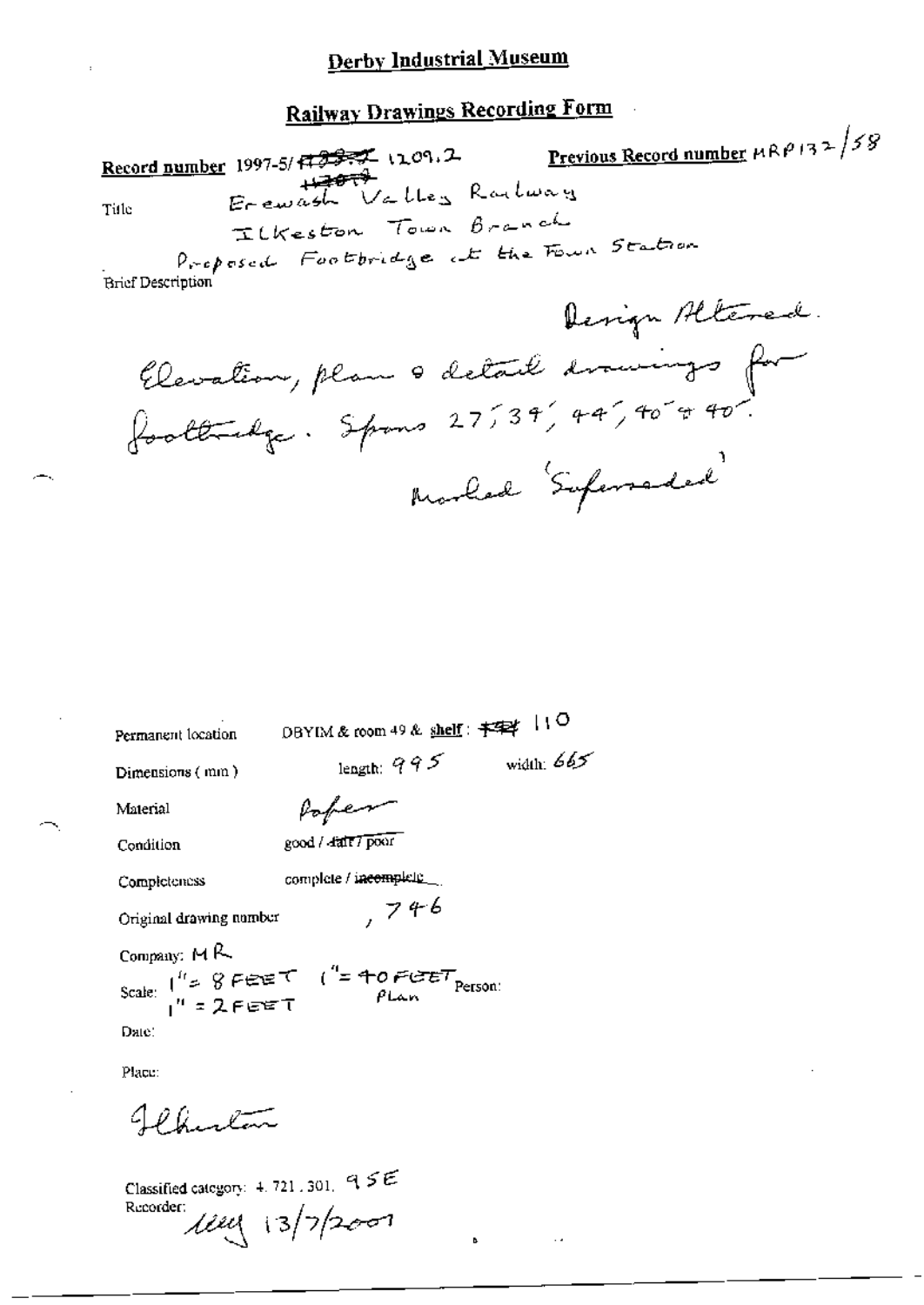Previous Record number  $\mu \mathbb{R} \rho$  132/58 Record number 1997-5/ $\sqrt{727}$  1209.2 Erewash Valley Railway Title Ilkeston Town Branch

Proposed Footbridge at the Four Station Brief Description

Derign Altered. Elevation, plan a detail drawings for Morled Supersaded

| Permanent location      | DBYIM & room 49 & shelf: $\neq$ $\neq$ $\downarrow$ $\downarrow$ O               |              |
|-------------------------|----------------------------------------------------------------------------------|--------------|
| Dimensions (mm)         | length: $995$                                                                    | width: $665$ |
| Material                | Poper                                                                            |              |
| Condition               | good / fair / poor                                                               |              |
| Completeness            | complete / i <del>ncompl</del> et <u>e _</u> _                                   |              |
| Original drawing number | , 746                                                                            |              |
| Company: $M$ $R$        |                                                                                  |              |
|                         | Scale: $\int_{1}^{t_1} z \cdot \theta$ FEET $\int_{1}^{t_2} z$ FEET $\theta$ Lan |              |
| Date:                   |                                                                                  |              |
| Place:                  |                                                                                  |              |

Classified category: 4, 721, 301, 9 SE Recorder: 13/7/2007

Jehnton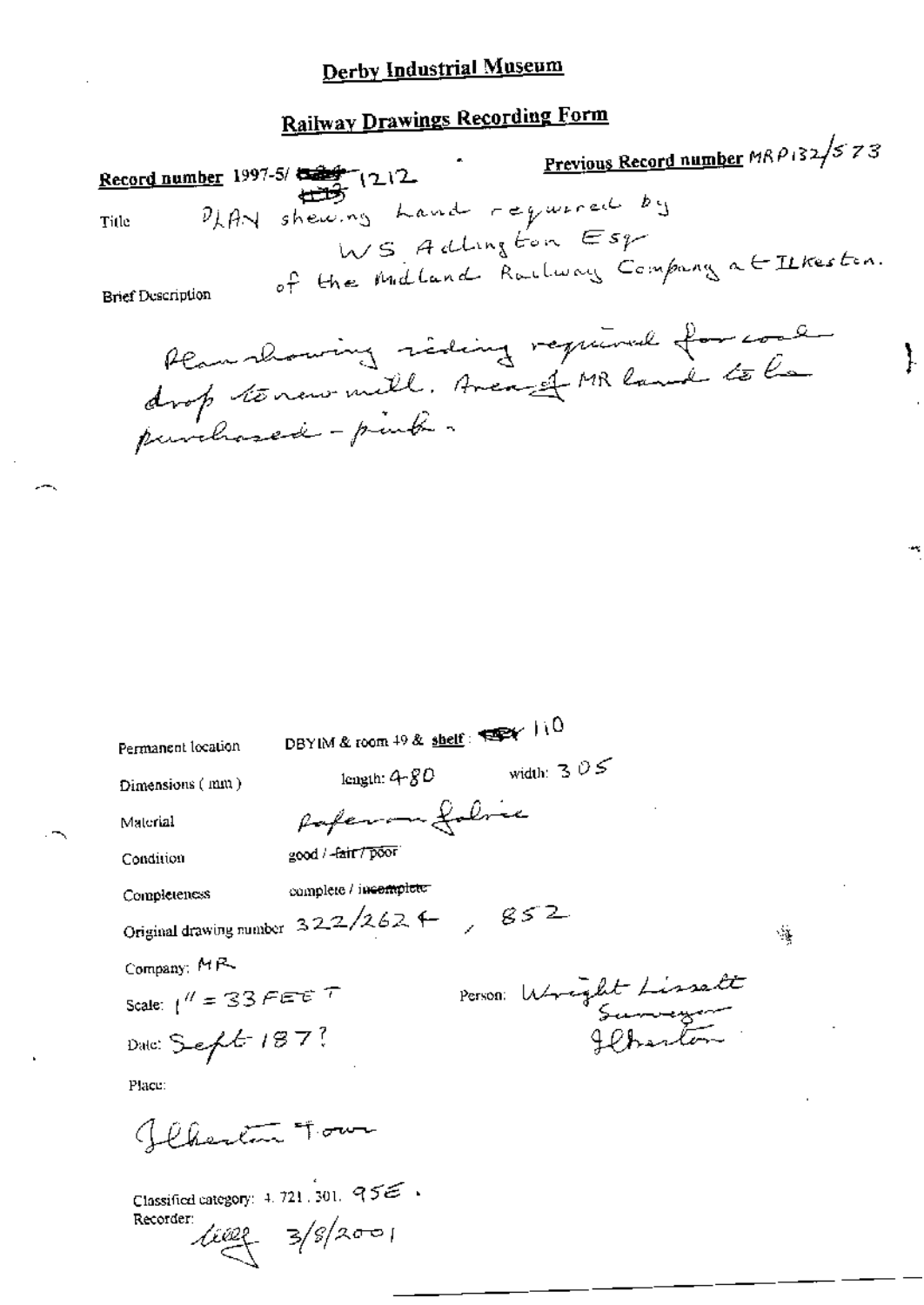# **Railway Drawings Recording Form**

<u>Previous Record number</u>  $MRP_132/573$ Record number 1997-5/  $\frac{1000}{1000}$  (212 PLAN shewing hand required by Title WS Addington Esp of the Midland Railway Company at Ilkeston. **Brief Description** Plan showing siding required for cool drop termomill. Avenue MR land to la

Ì.

|                        | DBYIM & room $49$ & shelf: $\blacktriangleright$ $\blacktriangleright$ $\blacktriangleright$ $\blacktriangleright$ $\blacktriangleright$ $\blacktriangleright$ |                       |   |
|------------------------|----------------------------------------------------------------------------------------------------------------------------------------------------------------|-----------------------|---|
| Permanent location     |                                                                                                                                                                |                       |   |
| Dimensions (mm)        | length: $4 - 80$                                                                                                                                               | width: $3.05$         |   |
| Material               | Paperman folice                                                                                                                                                |                       |   |
| Condition              | good / -fair / poor                                                                                                                                            |                       |   |
| Completeness           | complete / incomplete                                                                                                                                          |                       |   |
|                        | Original drawing number $322/262$ + $\qquad$ $852$                                                                                                             |                       | 隧 |
| Company: MR            |                                                                                                                                                                |                       |   |
| Scale: $1'' = 33$ FEET |                                                                                                                                                                | Person Wright Lissalt |   |
| Date: Sept 187?        |                                                                                                                                                                |                       |   |
| Place:                 |                                                                                                                                                                |                       |   |
| flhester Town          |                                                                                                                                                                |                       |   |

Classified category:  $4.721$ , 301.  $955$ . Recorder:

 $400 - 3/8/2001$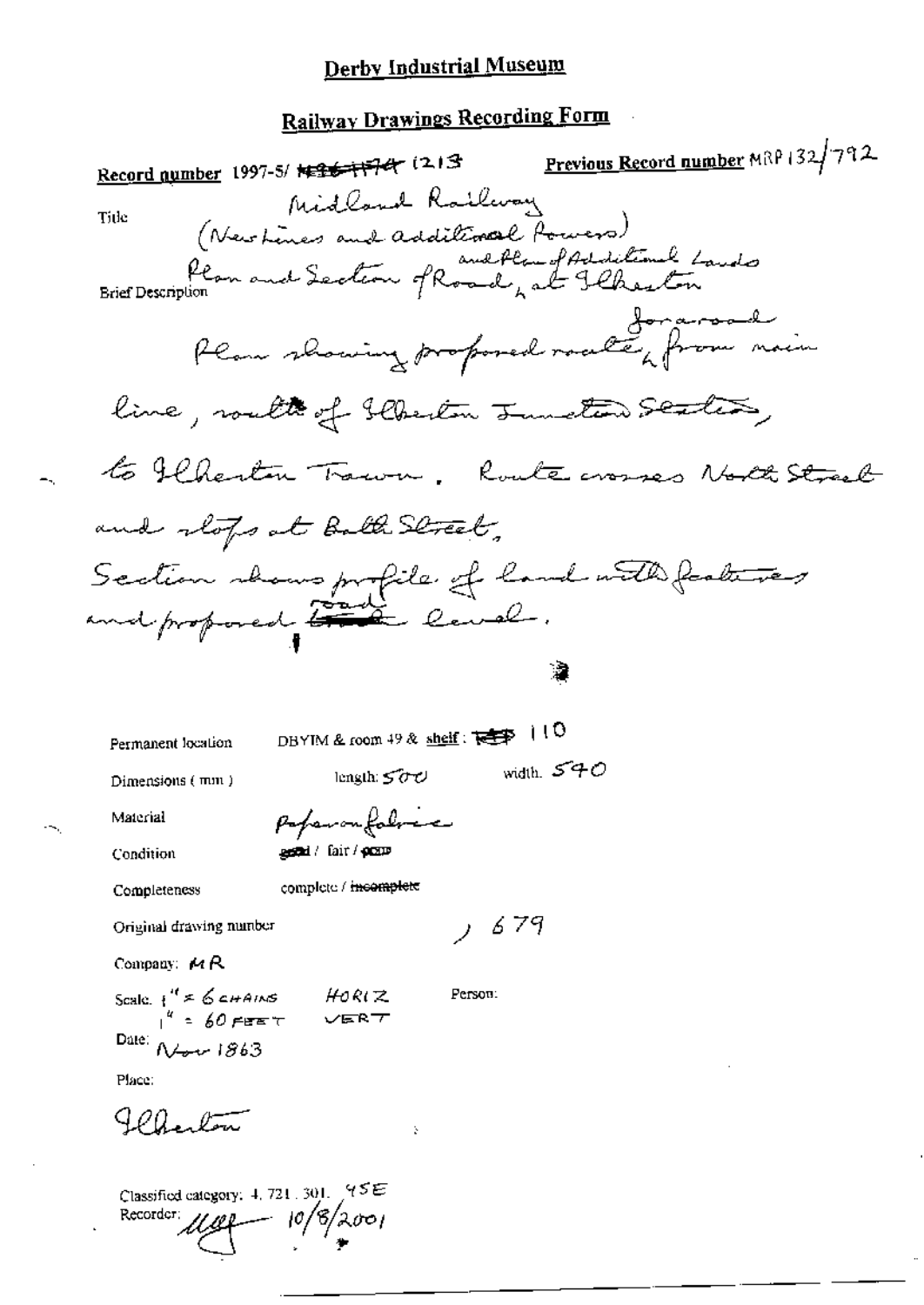# Railway Drawings Recording Form

 $\bar{z}$ 

| Record number 1997-5/ <del>1426-1174</del> (213                                                            | Previous Record number MRP 132/792 |
|------------------------------------------------------------------------------------------------------------|------------------------------------|
| Midland Railway<br>Title<br>1100 (Newheres and additional Powers)<br>Plan and Section of Road, at Ilkeston |                                    |
|                                                                                                            |                                    |
| flam showing proposed roads from nain                                                                      |                                    |
| line, route of floriton Junction Sentis,                                                                   |                                    |
| to flhesten Trawn, Route crosses North Street                                                              |                                    |
| and stops at Bath Street,                                                                                  |                                    |
| Section shows profile of land with features<br>and proposed that level.                                    |                                    |
|                                                                                                            |                                    |
| DBYIM & room 49 & shelf: $\sqrt{2\pi}$   10<br>Permanent location                                          |                                    |
| length: $500$<br>Dimensions (mm)                                                                           | width. $540$                       |
| Paparonfolose<br>Material                                                                                  |                                    |
| <b>astal</b> / fair / <b>przie</b><br>Condition                                                            |                                    |
| complete / <del>incomplete</del><br>Completeness                                                           |                                    |
| 679<br>Original drawing number                                                                             |                                    |
| Company: $4R$                                                                                              |                                    |
| Scale $i'' \neq 6$ chains HORIZ<br>$i'' = 60$ feet VERT<br>Person:                                         |                                    |
| Date: $N_{\text{out}}$ 1863                                                                                |                                    |
| Place:                                                                                                     |                                    |
| b.                                                                                                         |                                    |

Classified category: 4, 721, 301,  $(95E)$ oo) Recorder: 18 10,

 $\sim$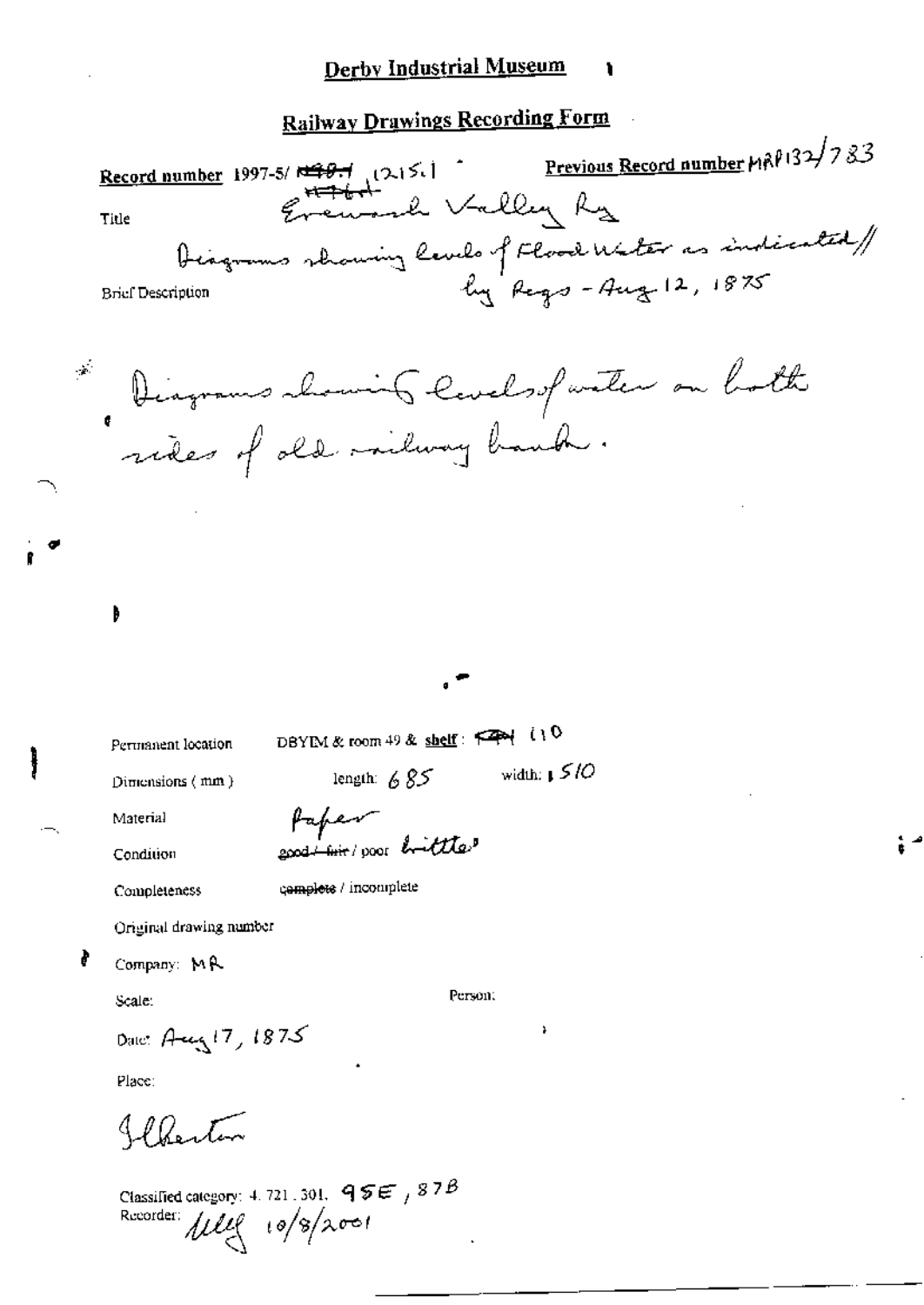**Railway Drawings Recording Form** 

Previous Record number MRP132/783 Record number 1997-5/ $\frac{129.1}{10.151}$  (2.15.1) Evenand Valley Ry Title Diagrams showing levels of Flood Water as indicated/ hy Regs-Aug 12, 1875 **Brief Description** Diagrams chaming levels of water on both  $\alpha$ B DBYIM & room 49 & shelf:  $\begin{bmatrix} 49 \\ 10 \end{bmatrix}$ Permanent location length:  $685$  width:  $1510$ Dimensions (mm) Paper Material exact first poor bottless Condition complete / incomplete Completeness Original drawing number ł Company: MR Person: Scale. Date: Aug 17, 1875 Place: IP Ponton Classified category: 4, 721, 301,  $95E/87B$ Recorder:  $\mu$ lle  $\sqrt{8}/\lambda$ 001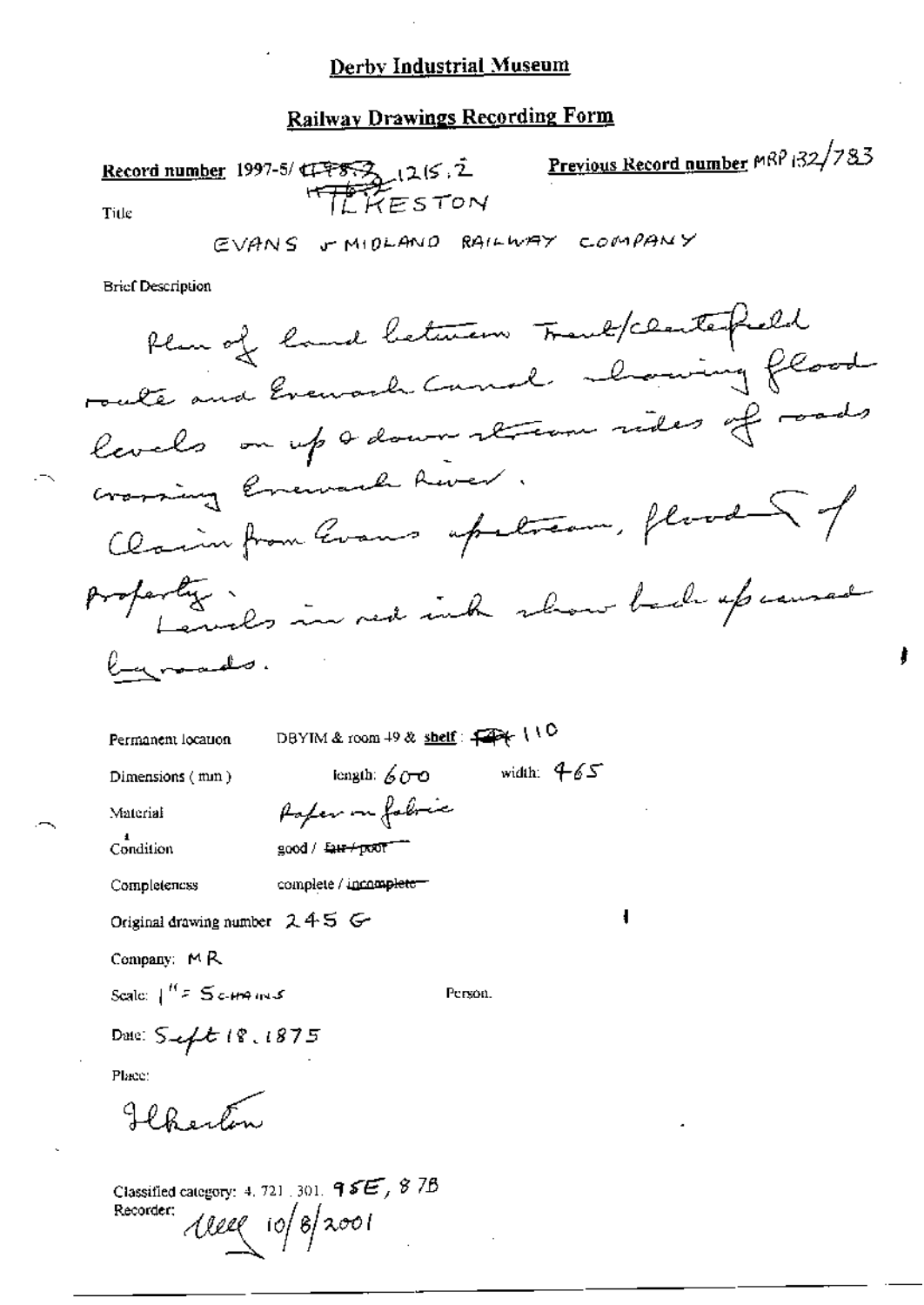### **Railway Drawings Recording Form**

Previous Record number MRP 132/783 Record number 1997-5/4775321215.2 ILKESTON Title

EVANS & MIDLAND RAILWAY COMPANY

**Brief Description** 

 $\overline{\mathbf{1}}$ 

ł

DBYIM & room 49 & shelf:  $\leftarrow$  110 Permanent location iongth:  $600$  width:  $465$ Dimensions (mm) Poper on fabric Material  $\frac{1}{1}$ Condition  $good /$   $Q = +700$ Completeness complete / incomplete-Original drawing number 245 G-Company:  $M R$ Scale:  $\int_{0}^{H} F \leq C \sin \theta$  and S Person. Date: Sept 18, 1875

Place:

Holmester

Classified category: 4, 721, 301, 9 SE, 8 7B Recorder:  $\text{Area}$  io/8/2001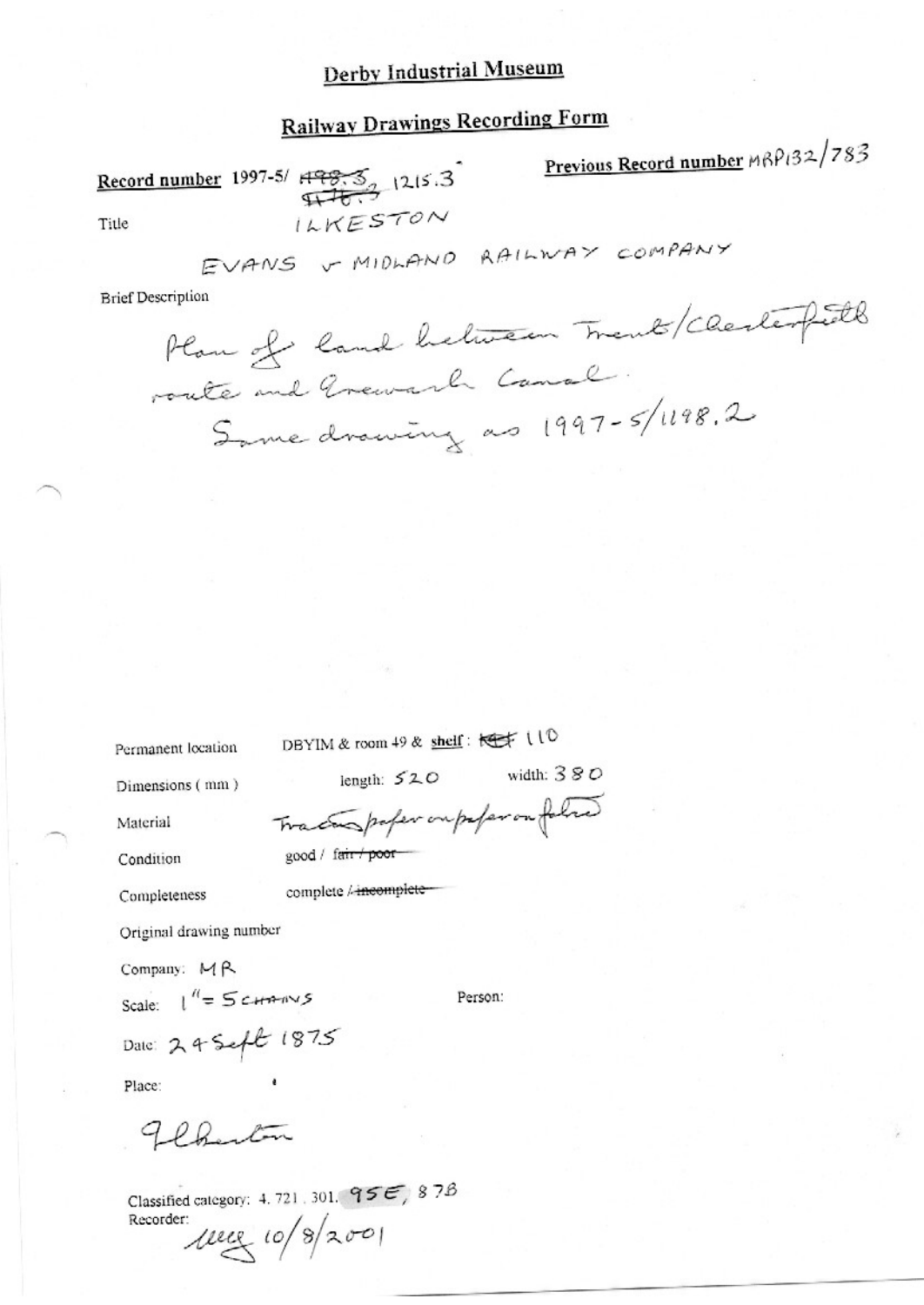# **Railway Drawings Recording Form**

Record number 1997-5/  $H775$ ,  $1215.3$ ILKESTON

Previous Record number MBP132/783

Title

EVANS & MIDLAND RAILWAY COMPANY

**Brief Description** 

Plan of land heliten Trent/ Chesterfield route and Greward Canal. Same drawing as 1997-5/1198.2

DBYIM & room 49 & shell: Kert 110

Permanent location Dimensions (mm)

length:  $520$  width:  $380$ Tracting paper ou paper on folho

Person:

good / fair poor

complete / incomplete-

Material

Condition

Completeness

Original drawing number

Company: MR

Scale:  $1^{\prime\prime} = 5$  channys

Date: 24 Sept 1875

Place:

Flanton

Classified category: 4, 721, 301,  $955$ , 878 Recorder:

 $1000 (10/8)2001$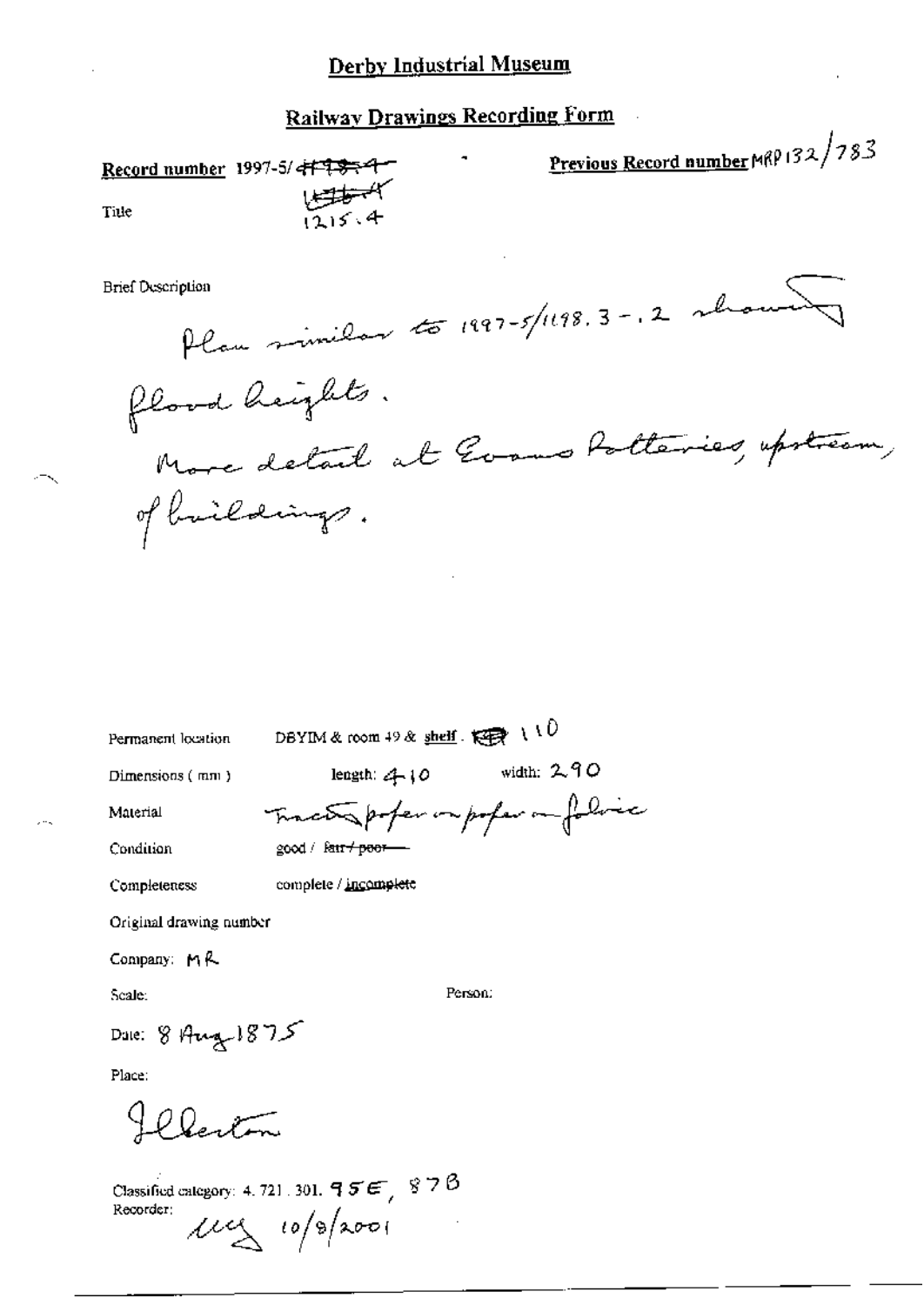Previous Record number MRP 132/783 Record number 1997-5/<del>417334</del> المستطقطا<br>12 د 13 Title Plan minilar to 1997-5/1198.3-.2 whou **Brief Description** flood heights. More detail at Gooms Potteries, upstream, of brildings. DBYIM & room 49 & shell  $\overrightarrow{R}$  (10) Permanent location length:  $410$  width:  $290$ Dimensions (mm) Traceto poper on poper on folice Material Condition good / fair + poor complete / incomplete Completeness Original drawing number Company:  $M$  $R$ Scale: Person: Date: 8 Aug 1875 Place: Flexton Classified category: 4, 721, 301,  $95E$ , 878 Recorder:  $\mu$ y 10/8/2001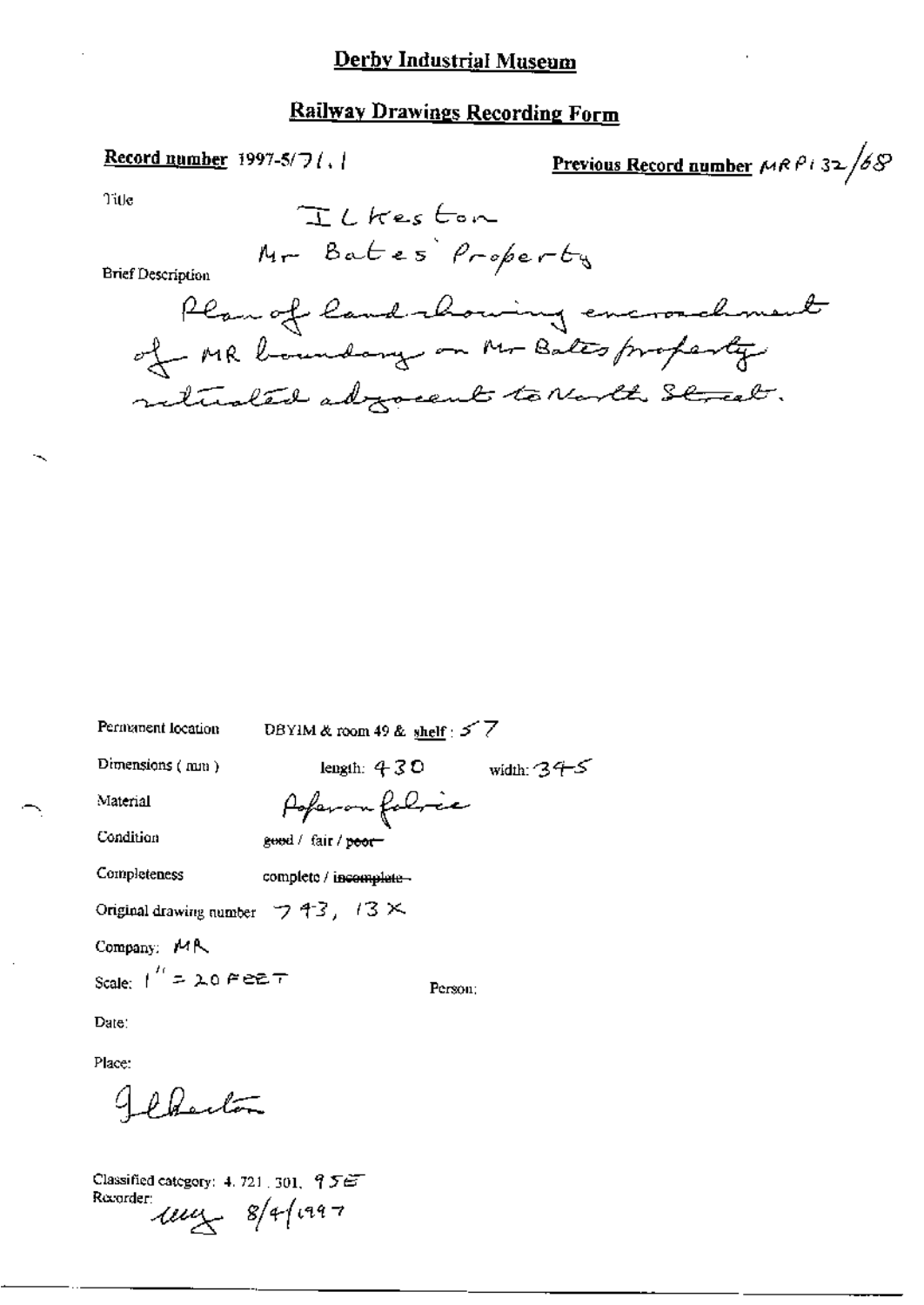### **Railway Drawings Recording Form**

#### Record number 1997-5/7/, /

Previous Record number  $\mu$ RPi32/68

 $Tile$ 

**Brief Description** 

| Permanent location                               | DBYIM & room 49 & shelf $57$ |              |
|--------------------------------------------------|------------------------------|--------------|
| Dimensions (mm)                                  | length: $430$                | width: $375$ |
| Material                                         | Poperon folice               |              |
| Condition                                        | good / fair / poor-          |              |
| Completeness                                     | complete / incomplete -      |              |
| Original drawing number $\Box$ 4.3, 1.3 $\times$ |                              |              |
| Company: MR                                      |                              |              |
| Scale: $1'' = \lambda 0$ $\in \mathbb{R}$        | Person:                      |              |
| Date:                                            |                              |              |
| Place:                                           |                              |              |
| 40.11                                            |                              |              |

Classified category: 4, 721, 301, 956 Recorder  $\frac{1}{2}$  8/4/1997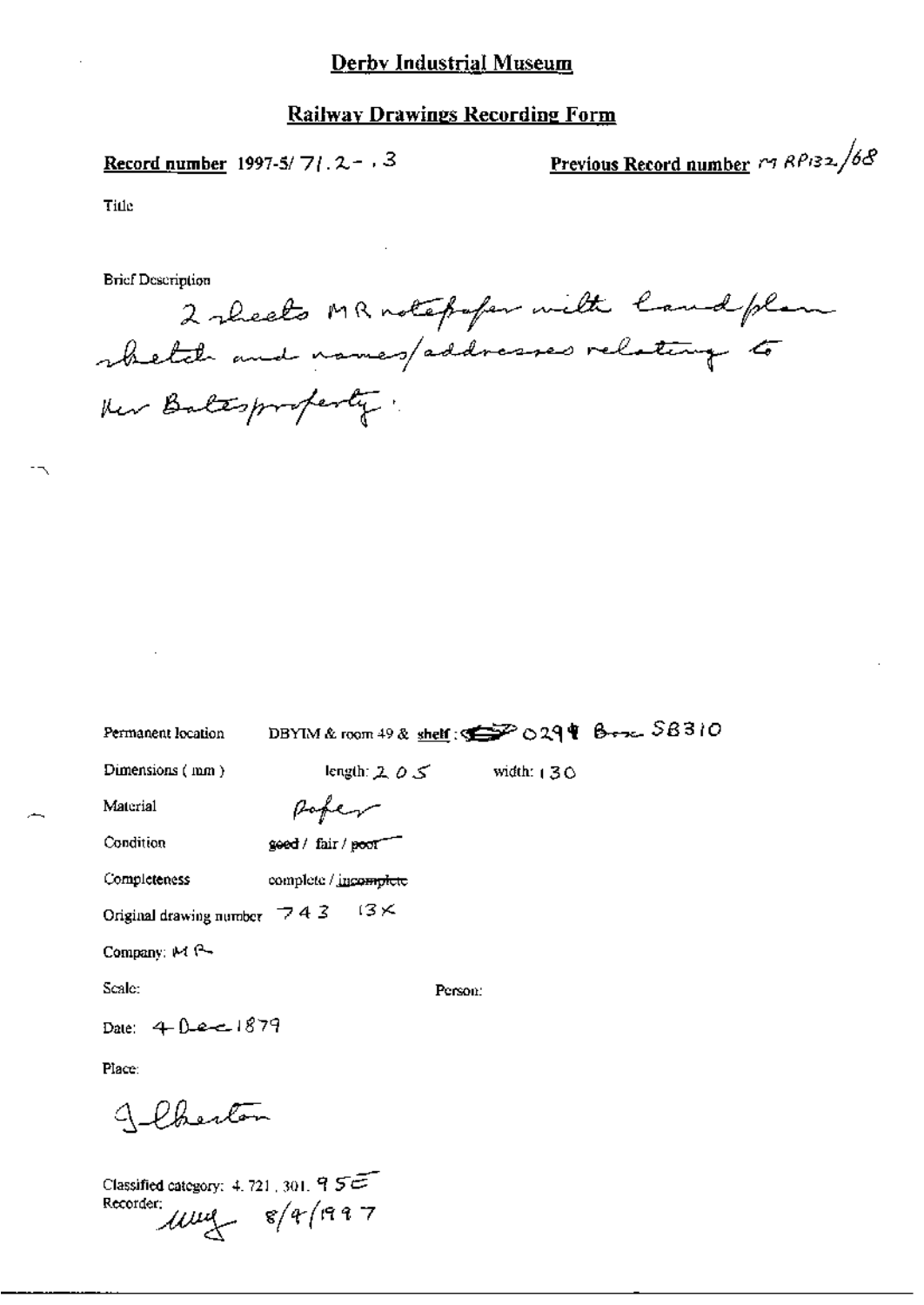Record number 1997-5/7/.  $2 - 3$ 

Previous Record number  $r_1$   $RP_{132}/68$ 

Title

**Brief Description** 

2 sheets MR notefular with land plan whetate and names/addresses relating to ther Baltsproferty:

| Permanent location                                                                 | DBYIM & room 49 & shelf: 5 29 & 0 29 & Bross. SB310 |              |  |
|------------------------------------------------------------------------------------|-----------------------------------------------------|--------------|--|
| Dimensions (mm)                                                                    | length: $2, 0, 5$                                   | width: $130$ |  |
| Material                                                                           | Rober                                               |              |  |
| Condition                                                                          | goed / fair / poor                                  |              |  |
| Completeness                                                                       | complete / incomplete                               |              |  |
| Original drawing number $\begin{array}{cc} \nabla 4 & 3 \n\end{array}$ (3 $\times$ |                                                     |              |  |
| Company: $M$ $\rightarrow$                                                         |                                                     |              |  |
| Scale:                                                                             | Person:                                             |              |  |
| Date: 4 Dec 1879                                                                   |                                                     |              |  |
| Place:                                                                             |                                                     |              |  |
| Wherton                                                                            |                                                     |              |  |
| Classified category: $4.721,301,955$<br>Recorder:                                  | $1004 - 8/4/1997$                                   |              |  |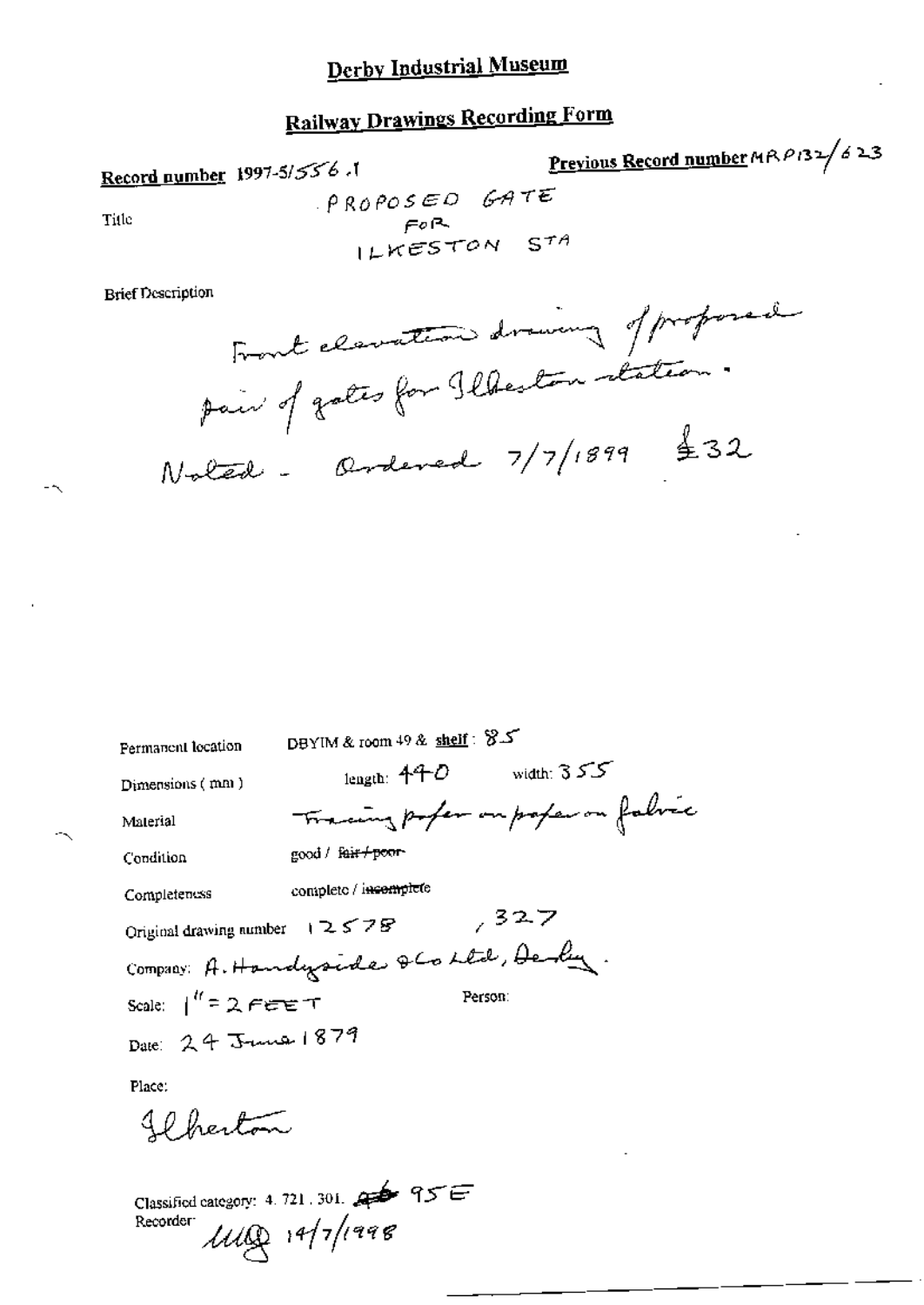# **Railway Drawings Recording Form**

Record number 1997-5/556.

Previous Record number MRP132/623

Title

 $PROPOSED$  GATE  $F^{\rho R}$ <br>ILKESTON STA

**Brief Description** 

Front clavation drawing of proformal pair of gates for Ilbeston station.  $N$ oled - Ordeved  $7/7/1899$  \$32

DBYIM & room 49 & shelf: 8.5 Permanent location length:  $440$  width:  $355$ Dimensions (mm) Tracing poper on proper on fabric Material good / fair+poor-Condition complete / incomplete Completeness  $7327$ Original drawing number 12578

Person:

Company: A. Handyside & Collel, Dely. Scale:  $1'' = 2$  FEET

Date: 24 June 1879

Place:

Il herton

Classified category: 4, 721, 301, 23 95 E  $1100$   $14/7$ /1998 Recorder: